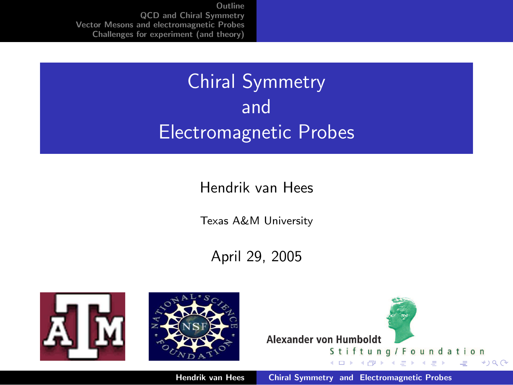# Chiral Symmetry and Electromagnetic Probes

#### Hendrik van Hees

Texas A&M University

April 29, 2005





<span id="page-0-0"></span>

Hendrik van Hees [Chiral Symmetry and Electromagnetic Probes](#page-35-0)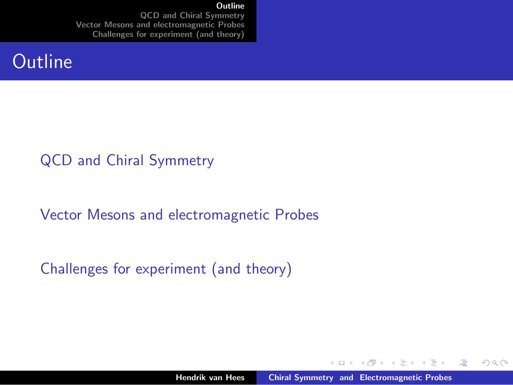#### **[Outline](#page-1-0)**

[QCD and Chiral Symmetry](#page-2-0) [Vector Mesons and electromagnetic Probes](#page-13-0) [Challenges for experiment \(and theory\)](#page-28-0)

#### **Outline**

#### [QCD and Chiral Symmetry](#page-2-0)

[Vector Mesons and electromagnetic Probes](#page-13-0)

[Challenges for experiment \(and theory\)](#page-28-0)

 $\leftarrow$   $\Box$ 

→ イ団 ト イ ヨ ト イ ヨ ト

 $2Q$ 

<span id="page-1-0"></span>哇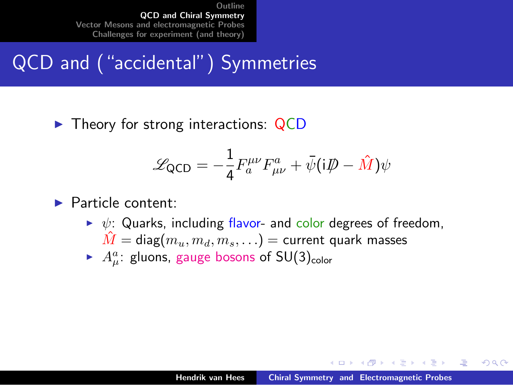## QCD and ("accidental") Symmetries

 $\triangleright$  Theory for strong interactions: QCD

$$
\mathscr{L}_{\text{QCD}} = -\frac{1}{4} F_a^{\mu\nu} F_{\mu\nu}^a + \bar{\psi} (i\rlap{\,/}D - \hat{M}) \psi
$$

#### $\blacktriangleright$  Particle content:

- $\triangleright \psi$ : Quarks, including flavor- and color degrees of freedom,  $\hat{M} = \textsf{diag}(m_u, m_d, m_s, \ldots) = \textsf{current quark masses}$
- $\blacktriangleright$   $A^a_\mu$ : gluons, gauge bosons of SU(3)<sub>color</sub>

 $4.17 \times$ 

マーター マーティング

<span id="page-2-0"></span>つくい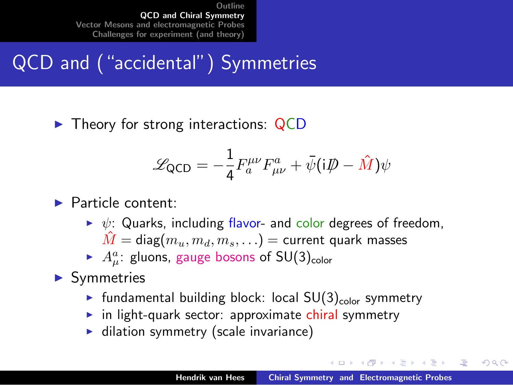## QCD and ("accidental") Symmetries

 $\triangleright$  Theory for strong interactions: QCD

$$
\mathscr{L}_{\text{QCD}} = -\frac{1}{4} F_a^{\mu\nu} F_{\mu\nu}^a + \bar{\psi} (i\rlap{\,/}D - \hat{M}) \psi
$$

#### $\blacktriangleright$  Particle content:

- $\triangleright \psi$ : Quarks, including flavor- and color degrees of freedom,  $\tilde{M} = \text{diag}(m_u, m_d, m_s, \ldots) =$  current quark masses
- $\blacktriangleright$   $A^a_\mu$ : gluons, gauge bosons of SU(3)<sub>color</sub>

#### $\blacktriangleright$  Symmetries

- In fundamental building block: local  $SU(3)_{\text{color}}$  symmetry
- $\blacktriangleright$  in light-quark sector: approximate chiral symmetry
- $\blacktriangleright$  dilation symmetry (scale invariance)

イロメ マ桐 メラミンマチャ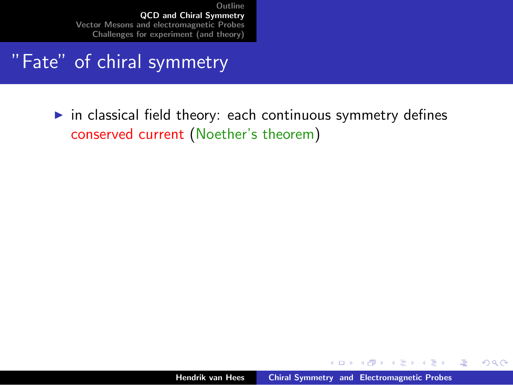#### "Fate" of chiral symmetry

 $\triangleright$  in classical field theory: each continuous symmetry defines conserved current (Noether's theorem)

K ロ ⊁ K 倒 ≯ K ミ ⊁ K ミ ⊁

 $2Q$ 

哇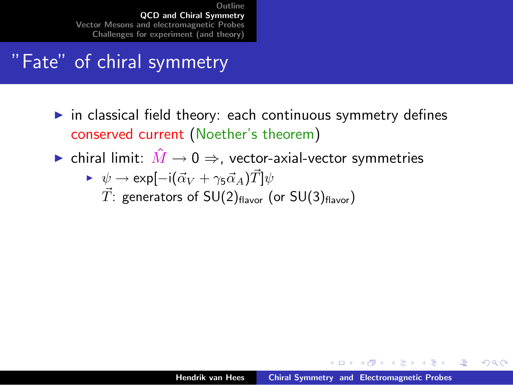### "Fate" of chiral symmetry

- $\triangleright$  in classical field theory: each continuous symmetry defines conserved current (Noether's theorem)
- ► chiral limit:  $\hat{M} \rightarrow 0 \Rightarrow$ , vector-axial-vector symmetries

► 
$$
\psi \rightarrow \exp[-i(\vec{\alpha}_V + \gamma_5 \vec{\alpha}_A)\vec{T}]\psi
$$
  
\n*T*: generators of SU(2)<sub>flavor</sub> (or SU(3)<sub>flavor</sub>)

イロメ マ桐 メラミンマチャ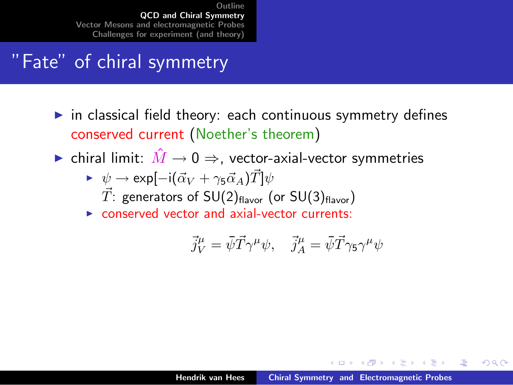### "Fate" of chiral symmetry

- $\triangleright$  in classical field theory: each continuous symmetry defines conserved current (Noether's theorem)
- $\triangleright$  chiral limit:  $\hat{M} \to 0 \Rightarrow$ , vector-axial-vector symmetries
	- $\triangleright \psi \rightarrow \exp[-i(\vec{\alpha}_V + \gamma_5 \vec{\alpha}_A)\vec{T}]\psi$  $\vec{T}$ : generators of SU(2)<sub>flavor</sub> (or SU(3)<sub>flavor</sub>)
	- $\triangleright$  conserved vector and axial-vector currents:

$$
\vec{j}^\mu_V = \bar{\psi} \vec{T} \gamma^\mu \psi, \quad \vec{j}^\mu_A = \bar{\psi} \vec{T} \gamma_5 \gamma^\mu \psi
$$

イロメ マ桐 メラミンマチャ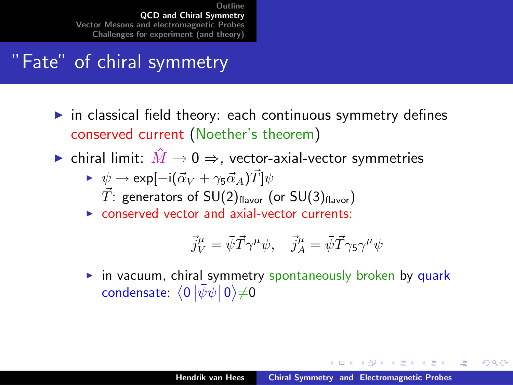### "Fate" of chiral symmetry

- $\triangleright$  in classical field theory: each continuous symmetry defines conserved current (Noether's theorem)
- $\triangleright$  chiral limit:  $\hat{M} \to 0 \Rightarrow$ , vector-axial-vector symmetries
	- $\triangleright \psi \rightarrow \exp[-i(\vec{\alpha}_V + \gamma_5 \vec{\alpha}_A)\vec{T}]\psi$  $\vec{T}$ : generators of SU(2)<sub>flavor</sub> (or SU(3)<sub>flavor</sub>)
	- $\triangleright$  conserved vector and axial-vector currents:

$$
\vec{j}^\mu_V = \bar{\psi} \vec{T} \gamma^\mu \psi, \quad \vec{j}^\mu_A = \bar{\psi} \vec{T} \gamma_5 \gamma^\mu \psi
$$

 $\triangleright$  in vacuum, chiral symmetry spontaneously broken by quark condensate:  $\left\langle 0\left|\bar{\psi}\psi\right|0\right\rangle \neq0$ 

イロメ マ桐 メラミンマチャ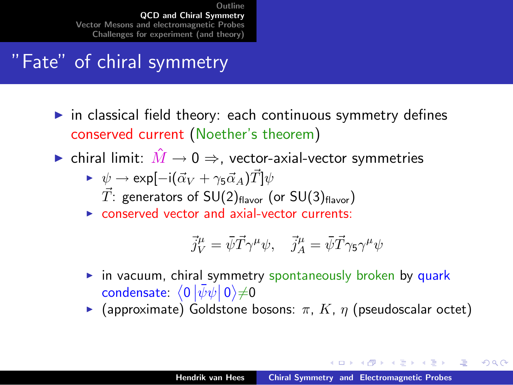### "Fate" of chiral symmetry

- $\triangleright$  in classical field theory: each continuous symmetry defines conserved current (Noether's theorem)
- $\triangleright$  chiral limit:  $\hat{M} \to 0 \Rightarrow$ , vector-axial-vector symmetries
	- $\triangleright \psi \rightarrow \exp[-i(\vec{\alpha}_V + \gamma_5 \vec{\alpha}_A)\vec{T}]\psi$  $\vec{T}$ : generators of SU(2)<sub>flavor</sub> (or SU(3)<sub>flavor</sub>)
	- $\triangleright$  conserved vector and axial-vector currents:

$$
\vec{j}^\mu_V = \bar{\psi} \vec{T} \gamma^\mu \psi, \quad \vec{j}^\mu_A = \bar{\psi} \vec{T} \gamma_5 \gamma^\mu \psi
$$

- $\triangleright$  in vacuum, chiral symmetry spontaneously broken by quark condensate:  $\left\langle 0\left|\bar{\psi}\psi\right|0\right\rangle \neq0$
- **F** (approximate) Goldstone bosons:  $\pi$ , K,  $\eta$  (pseudoscalar octet)

イロメ マ桐 メラミンマチャ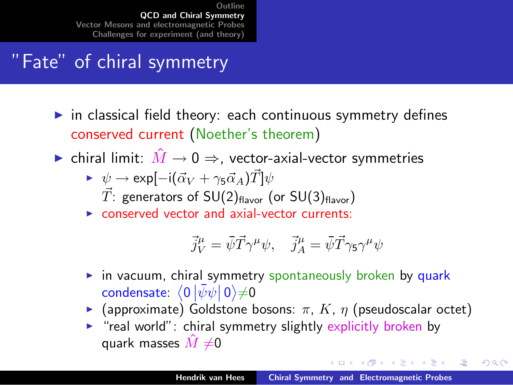### "Fate" of chiral symmetry

- $\triangleright$  in classical field theory: each continuous symmetry defines conserved current (Noether's theorem)
- $\triangleright$  chiral limit:  $\hat{M} \to 0 \Rightarrow$ , vector-axial-vector symmetries
	- $\triangleright \psi \rightarrow \exp[-i(\vec{\alpha}_V + \gamma_5 \vec{\alpha}_A)\vec{T}]\psi$  $\vec{T}$ : generators of SU(2)<sub>flavor</sub> (or SU(3)<sub>flavor</sub>)
	- $\triangleright$  conserved vector and axial-vector currents:

$$
\vec{j}^\mu_V = \bar{\psi} \vec{T} \gamma^\mu \psi, \quad \vec{j}^\mu_A = \bar{\psi} \vec{T} \gamma_5 \gamma^\mu \psi
$$

- $\triangleright$  in vacuum, chiral symmetry spontaneously broken by quark condensate:  $\left\langle 0\left|\bar{\psi}\psi\right|0\right\rangle \neq0$
- **F** (approximate) Goldstone bosons:  $\pi$ , K,  $\eta$  (pseudoscalar octet)
- $\triangleright$  "real world": chiral symmetry slightly explicitly broken by quark masses  $\hat{M} \neq 0$

イロト イ押ト イチト イチト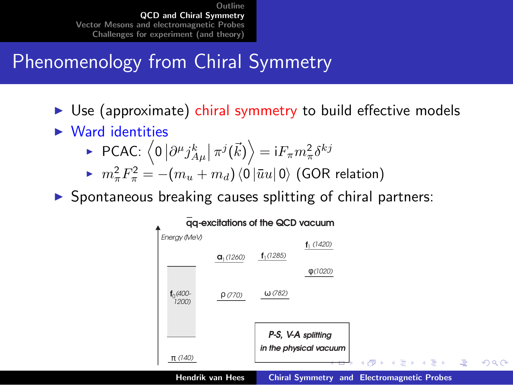## Phenomenology from Chiral Symmetry

- $\triangleright$  Use (approximate) chiral symmetry to build effective models
- $\blacktriangleright$  Ward identities

► PCAC: 
$$
\langle 0 | \partial^{\mu} j_{A\mu}^{k} | \pi^{j}(\vec{k}) \rangle = i F_{\pi} m_{\pi}^{2} \delta^{kj}
$$

$$
\blacktriangleright \ \ m_{\pi}^{2}F_{\pi}^{2} = -(m_{u} + m_{d})\langle 0|\bar{u}u|0\rangle \; (\text{GOR relation})
$$

 $\triangleright$  Spontaneous breaking causes splitting of chiral partners:

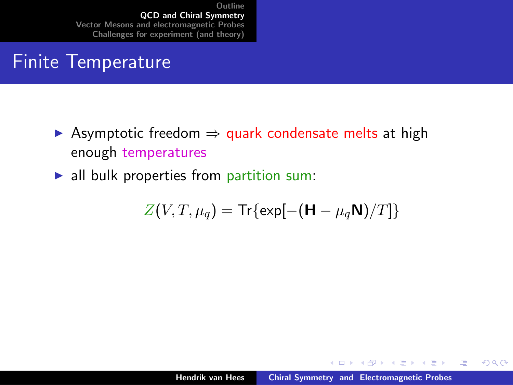### Finite Temperature

- $\triangleright$  Asymptotic freedom  $\Rightarrow$  quark condensate melts at high enough temperatures
- $\blacktriangleright$  all bulk properties from partition sum:

$$
Z(V,T,\mu_q) = \text{Tr}\{\exp[-(\mathbf{H} - \mu_q \mathbf{N})/T]\}
$$

K ロ ⊁ K 倒 ≯ K ミ ⊁ K ミ ⊁

哇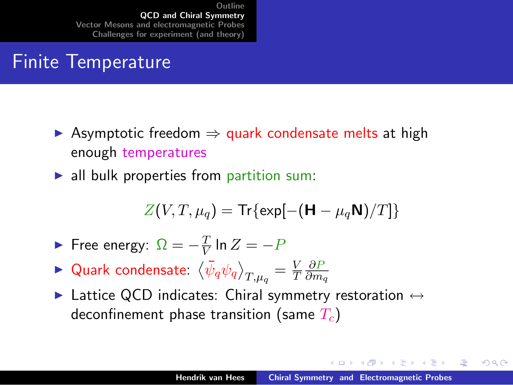### Finite Temperature

- $\triangleright$  Asymptotic freedom  $\Rightarrow$  quark condensate melts at high enough temperatures
- $\blacktriangleright$  all bulk properties from partition sum:

$$
Z(V,T,\mu_q) = \text{Tr}\{\exp[-(\mathbf{H} - \mu_q \mathbf{N})/T]\}
$$

$$
\blacktriangleright \text{ Free energy: } \Omega = -\frac{T}{V} \ln Z = -P
$$

- $\blacktriangleright$  Quark condensate:  $\left\langle\bar{\psi}_q\psi_q\right\rangle_{T,\mu_q}=\frac{V}{T}$ T ∂P  $\partial m_q$
- $\blacktriangleright$  Lattice QCD indicates: Chiral symmetry restoration  $\leftrightarrow$ deconfinement phase transition (same  $T_c$ )

イロメ マ桐 メラミンマチャ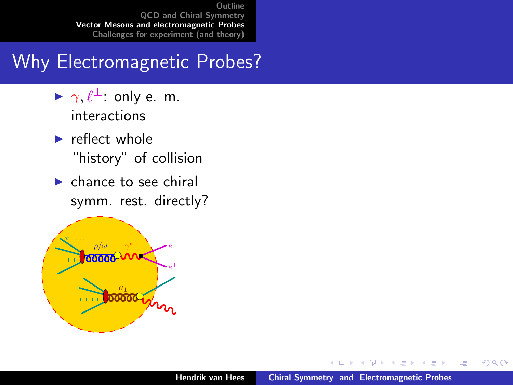### Why Electromagnetic Probes?

- $\blacktriangleright \gamma, \ell^{\pm}$ : only e. m. interactions
- $\blacktriangleright$  reflect whole "history" of collision
- $\blacktriangleright$  chance to see chiral symm. rest. directly?



 $\leftarrow$   $\Box$ 

 $\mathcal{A}$  and  $\mathcal{A}$  in  $\mathcal{A}$  . If  $\mathcal{A}$ 

- 4 店)

 $2Q$ 

<span id="page-13-0"></span>归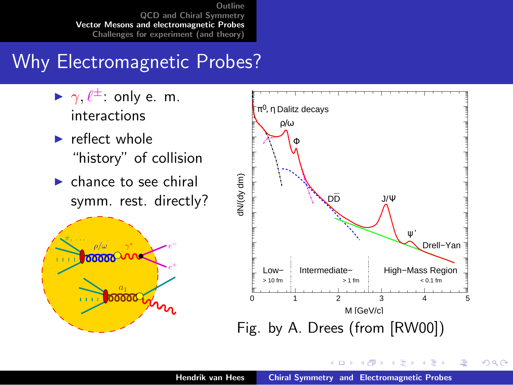### Why Electromagnetic Probes?

- $\blacktriangleright \gamma, \ell^{\pm}$ : only e. m. interactions
- $\blacktriangleright$  reflect whole "history" of collision
- $\blacktriangleright$  chance to see chiral symm. rest. directly?





K ロ ⊁ K 倒 ≯ K ミ ⊁ K ミ ⊁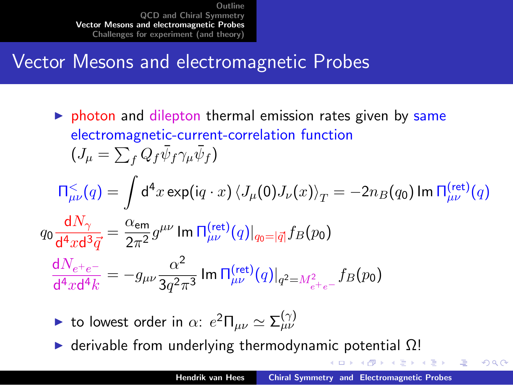### Vector Mesons and electromagnetic Probes

 $\triangleright$  photon and dilepton thermal emission rates given by same electromagnetic-current-correlation function  $(J_\mu = \sum_f Q_f \bar{\psi}_f \gamma_\mu \bar{\psi}_f)$ 

$$
\Pi_{\mu\nu}^{\leq}(q) = \int d^4x \exp\left(iq \cdot x\right) \langle J_{\mu}(0)J_{\nu}(x)\rangle_T = -2n_B(q_0) \operatorname{Im} \Pi_{\mu\nu}^{\text{(ret)}}(q)
$$
\n
$$
q_0 \frac{dN_{\gamma}}{d^4x d^3 \vec{q}} = \frac{\alpha_{\text{em}}}{2\pi^2} g^{\mu\nu} \operatorname{Im} \Pi_{\mu\nu}^{\text{(ret)}}(q)|_{q_0 = |\vec{q}|} f_B(p_0)
$$
\n
$$
\frac{dN_{e^+e^-}}{d^4x d^4 k} = -g_{\mu\nu} \frac{\alpha^2}{3q^2 \pi^3} \operatorname{Im} \Pi_{\mu\nu}^{\text{(ret)}}(q)|_{q^2 = M_{e^+e^-}} f_B(p_0)
$$

- ightharpoonup to lowest order in  $\alpha$ :  $e^2 \Pi_{\mu\nu} \simeq \Sigma_{\mu\nu}^{(\gamma)}$
- $\triangleright$  derivable from underlying thermodynamic potential  $\Omega$ !

メタメ メミメ メミメ

遥

 $\Omega$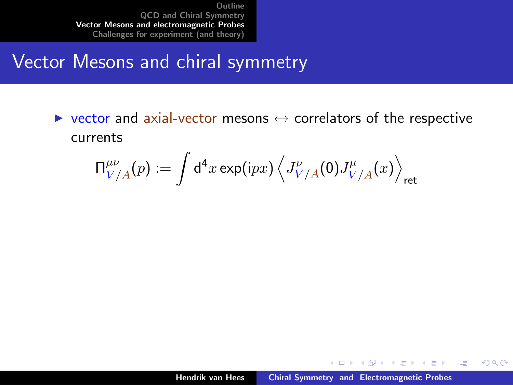#### Vector Mesons and chiral symmetry

 $\triangleright$  vector and axial-vector mesons  $\leftrightarrow$  correlators of the respective currents

$$
\Pi^{\mu\nu}_{V/A}(p):=\int\mathrm{d}^4x\exp(\mathrm{i}p x)\left\langle J^{\nu}_{V/A}(0)J^{\mu}_{V/A}(x)\right\rangle_{\rm ret}
$$

K ロ ⊁ K 倒 ≯ K ミ ⊁ K ミ ⊁

哇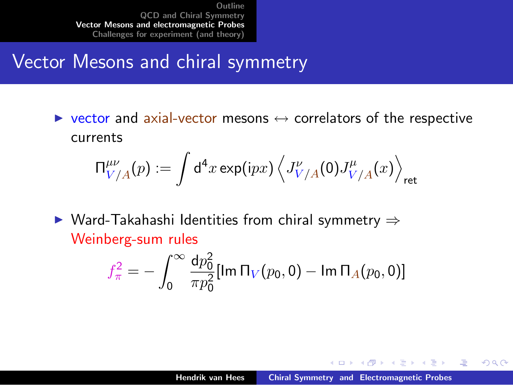#### Vector Mesons and chiral symmetry

 $\triangleright$  vector and axial-vector mesons  $\leftrightarrow$  correlators of the respective currents

$$
\Pi^{\mu\nu}_{V/A}(p):=\int\text{d}^4x\exp(\text{i}p x)\left\langle J^{\nu}_{V/A}(0)J^{\mu}_{V/A}(x)\right\rangle_{\text{ret}}
$$

 $\triangleright$  Ward-Takahashi Identities from chiral symmetry  $\Rightarrow$ Weinberg-sum rules

$$
f_{\pi}^{2} = -\int_{0}^{\infty} \frac{\mathrm{d}p_{0}^{2}}{\pi p_{0}^{2}} [\text{Im} \, \Pi_{V}(p_{0},0) - \text{Im} \, \Pi_{A}(p_{0},0)]
$$

イロメ マ桐 メラミンマチャ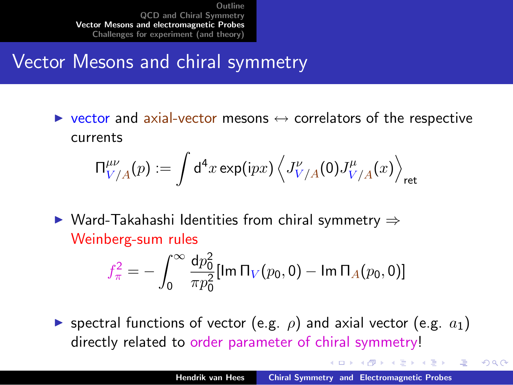### Vector Mesons and chiral symmetry

 $\triangleright$  vector and axial-vector mesons  $\leftrightarrow$  correlators of the respective currents

$$
\Pi^{\mu\nu}_{V/A}(p):=\int\text{d}^4x\exp(\text{i}p x)\left\langle J^{\nu}_{V/A}(0)J^{\mu}_{V/A}(x)\right\rangle_{\text{ret}}
$$

 $\triangleright$  Ward-Takahashi Identities from chiral symmetry  $\Rightarrow$ Weinberg-sum rules

$$
f_{\pi}^{2} = -\int_{0}^{\infty} \frac{\mathrm{d}p_{0}^{2}}{\pi p_{0}^{2}} [\text{Im} \, \Pi_{V}(p_{0},0) - \text{Im} \, \Pi_{A}(p_{0},0)]
$$

**If** spectral functions of vector (e.g.  $\rho$ ) and axial vector (e.g.  $a_1$ ) directly related to order parameter of chiral symmetry!

- イタト イラト イラト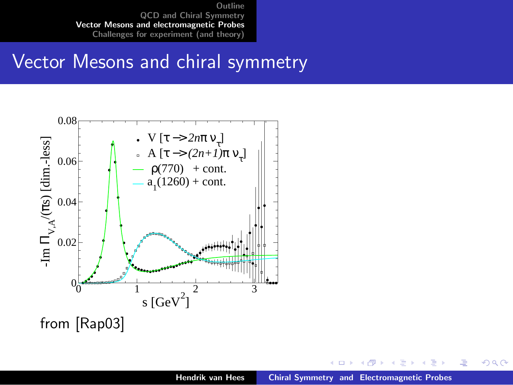#### Vector Mesons and chiral symmetry



 $4.17 \times$ 

 $\leftarrow$   $\leftarrow$   $\leftarrow$  $\rightarrow$   $\pm$  $\sim$ €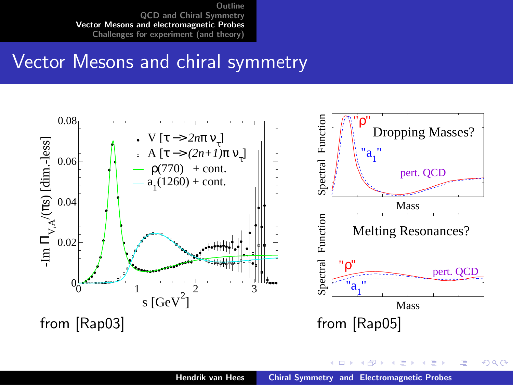#### Vector Mesons and chiral symmetry



 $\leftarrow$   $\Box$ 

 $\rightarrow$   $\oplus$   $\rightarrow$   $\rightarrow$   $\oplus$   $\rightarrow$ 

メミト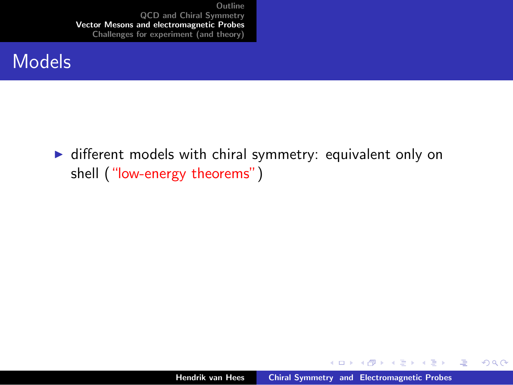#### Models

 $\triangleright$  different models with chiral symmetry: equivalent only on shell ("low-energy theorems")

K ロ ⊁ K 倒 ≯ K ミ ⊁ K ミ ⊁

哇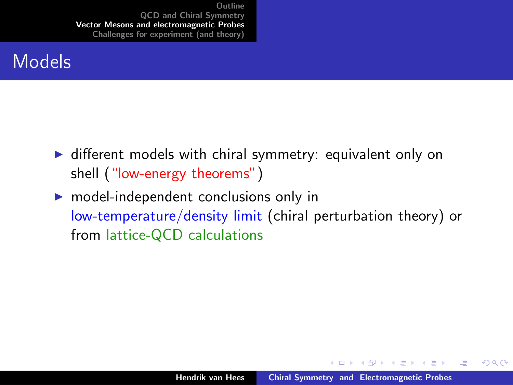#### Models

- $\triangleright$  different models with chiral symmetry: equivalent only on shell ("low-energy theorems")
- $\triangleright$  model-independent conclusions only in low-temperature/density limit (chiral perturbation theory) or from lattice-QCD calculations

メロメ メ倒 メメ ミメ メミメ

哇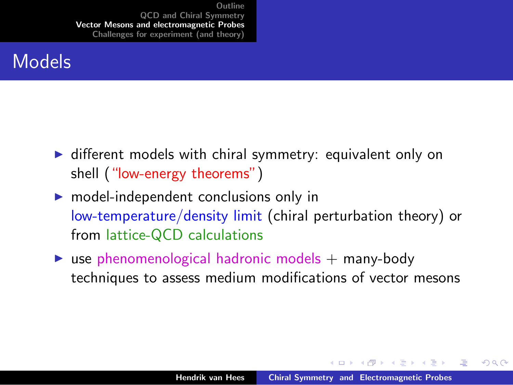#### Models

- $\triangleright$  different models with chiral symmetry: equivalent only on shell ("low-energy theorems")
- $\triangleright$  model-independent conclusions only in low-temperature/density limit (chiral perturbation theory) or from lattice-QCD calculations
- $\triangleright$  use phenomenological hadronic models  $+$  many-body techniques to assess medium modifications of vector mesons

メロメ メ御 メメ きょくきょう

 $\Omega$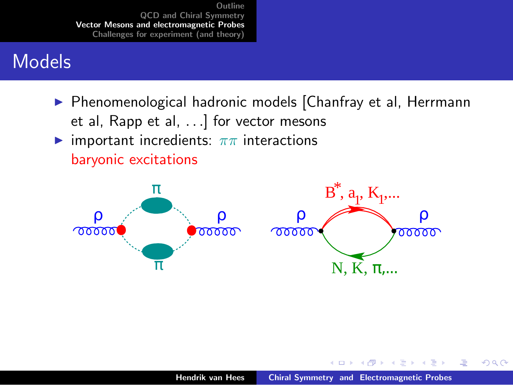#### Models

▶ Phenomenological hadronic models [Chanfray et al, Herrmann et al, Rapp et al, ...] for vector mesons **In** important incredients:  $\pi \pi$  interactions baryonic excitations



 $4.17 \times$ 

 $\mathcal{A}$   $\mathcal{F}$   $\mathcal{F}$   $\mathcal{A}$   $\mathcal{F}$   $\mathcal{F}$ 

三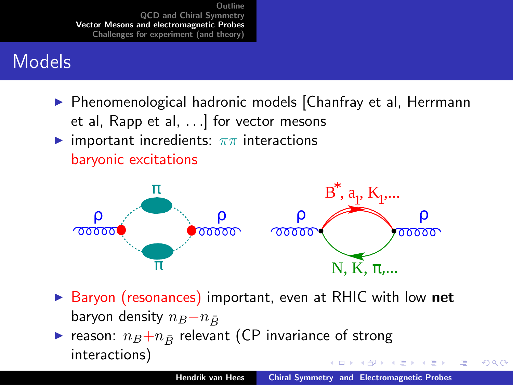## Models

▶ Phenomenological hadronic models [Chanfray et al, Herrmann et al, Rapp et al,  $\dots$ ] for vector mesons **I** important incredients:  $\pi \pi$  interactions

baryonic excitations



- ▶ Baryon (resonances) important, even at RHIC with low net baryon density  $n_B-n_{\bar{D}}$
- reason:  $n_B+n_{\bar{B}}$  relevant (CP invariance of strong interactions)  $4.11 \times 4.60 \times 4.72 \times$

つへへ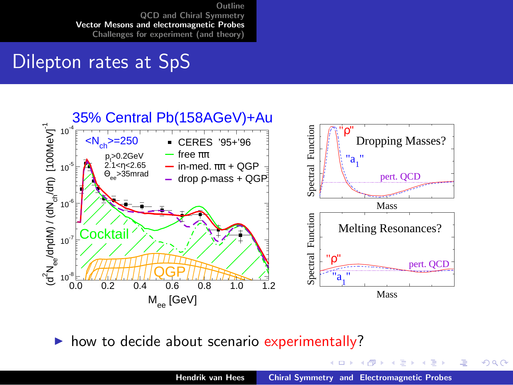#### Dilepton rates at SpS



 $\triangleright$  how to decide about scenario experimentally?

4 0 5

す ランス ミット

唐

メミト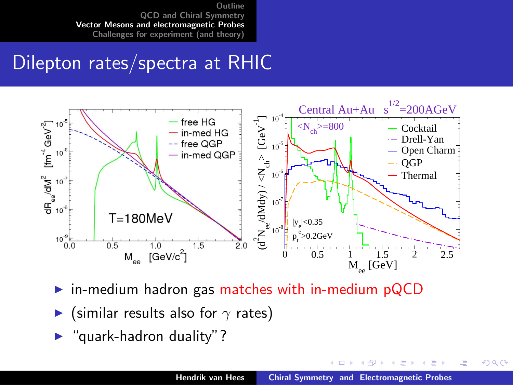#### Dilepton rates/spectra at RHIC



- $\triangleright$  in-medium hadron gas matches with in-medium pQCD
- (similar results also for  $\gamma$  rates)
- " quark-hadron duality"?

 $4.17 \times$ 

 $\mathcal{A}$  and  $\mathcal{A}$  . The set

<span id="page-27-0"></span>重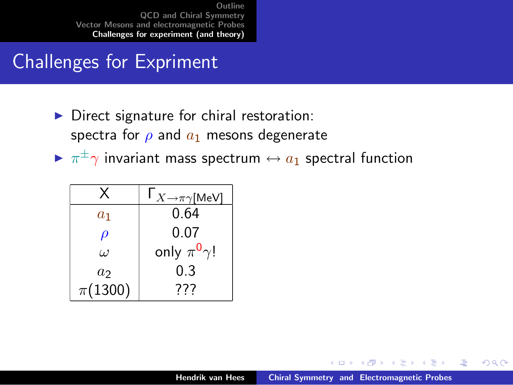## Challenges for Expriment

- $\triangleright$  Direct signature for chiral restoration: spectra for  $\rho$  and  $a_1$  mesons degenerate
- $\blacktriangleright \ \pi^\pm\gamma$  invariant mass spectrum  $\leftrightarrow a_1$  spectral function

|                     | $\mathsf{I}_{X\to\pi\gamma}$ [MeV] |
|---------------------|------------------------------------|
| $a_1$               | 0.64                               |
| $\boldsymbol{\rho}$ | 0.07                               |
| $\iota$             | only $\pi^0 \gamma!$               |
| a <sub>2</sub>      | 0.3                                |
| $\pi(1300)$         | 777                                |

 $4.17 \times$ 

<span id="page-28-0"></span>K 御 ⊁ K 唐 ⊁ K 唐 ⊁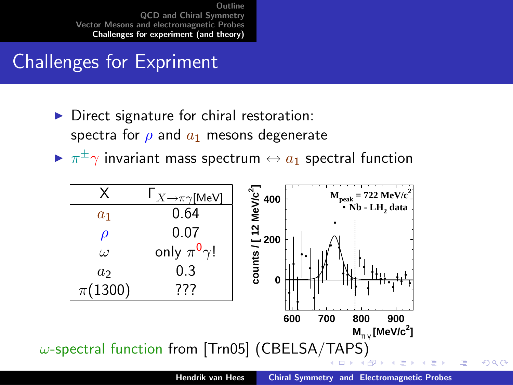## Challenges for Expriment

- Direct signature for chiral restoration: spectra for  $\rho$  and  $a_1$  mesons degenerate
- $\blacktriangleright \ \pi^\pm\gamma$  invariant mass spectrum  $\leftrightarrow a_1$  spectral function

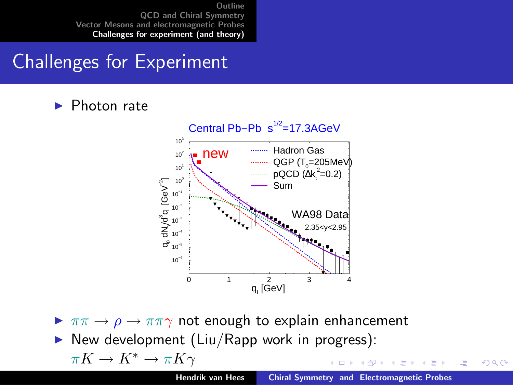## Challenges for Experiment

Photon rate



 $\triangleright \pi\pi \rightarrow \rho \rightarrow \pi\pi\gamma$  not enough to explain enhancement

 $\triangleright$  New development (Liu/Rapp work in progress):

<span id="page-30-0"></span>
$$
\pi K \to K^* \to \pi K \gamma
$$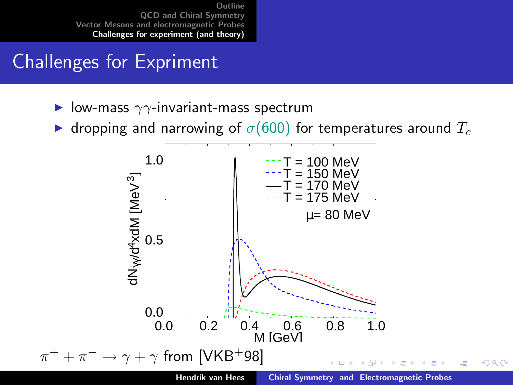## Challenges for Expriment

- $\blacktriangleright$  low-mass  $\gamma\gamma$ -invariant-mass spectrum
- **If** dropping and narrowing of  $\sigma$ (600) for temperatures around  $T_c$

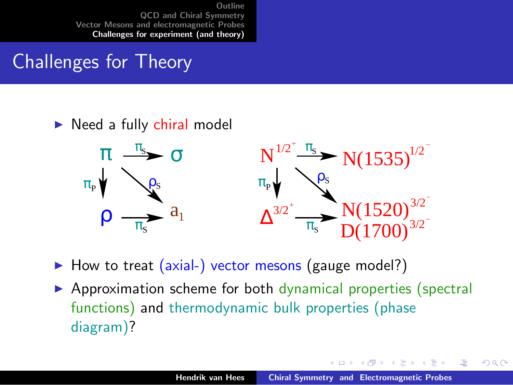## Challenges for Theory

#### $\triangleright$  Need a fully chiral model



How to treat (axial-) vector mesons (gauge model?)

 $\triangleright$  Approximation scheme for both dynamical properties (spectral functions) and thermodynamic bulk properties (phase diagram)?

 $4.17 \times$ 

マーティ ミュマミン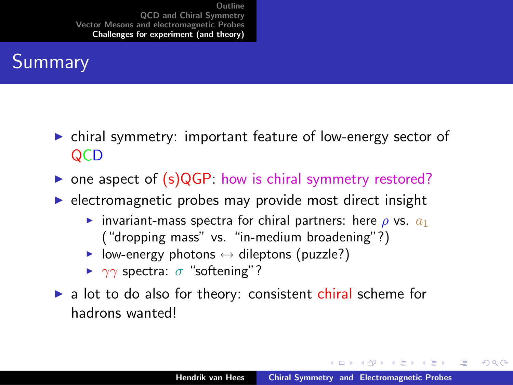## Summary

- $\triangleright$  chiral symmetry: important feature of low-energy sector of **QCD**
- one aspect of  $(s)$ QGP: how is chiral symmetry restored?
- $\triangleright$  electromagnetic probes may provide most direct insight
	- invariant-mass spectra for chiral partners: here  $\rho$  vs.  $a_1$ ("dropping mass" vs. "in-medium broadening"?)
	- $\triangleright$  low-energy photons  $\leftrightarrow$  dileptons (puzzle?)
	- $\triangleright$   $\gamma\gamma$  spectra:  $\sigma$  "softening"?
- $\triangleright$  a lot to do also for theory: consistent chiral scheme for hadrons wanted!

イロメ マ桐 メラミンマチャ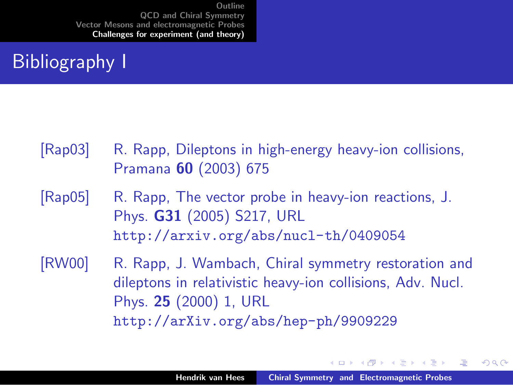## Bibliography I

- <span id="page-34-1"></span>[Rap03] R. Rapp, Dileptons in high-energy heavy-ion collisions, Pramana 60 (2003) 675
- <span id="page-34-2"></span>[Rap05] R. Rapp, The vector probe in heavy-ion reactions, J. Phys. G31 (2005) S217, URL <http://arxiv.org/abs/nucl-th/0409054>
- <span id="page-34-0"></span>[RW00] R. Rapp, J. Wambach, Chiral symmetry restoration and dileptons in relativistic heavy-ion collisions, Adv. Nucl. Phys. 25 (2000) 1, URL <http://arXiv.org/abs/hep-ph/9909229>

メロメ メ御 メメ きょくきょう

つくい